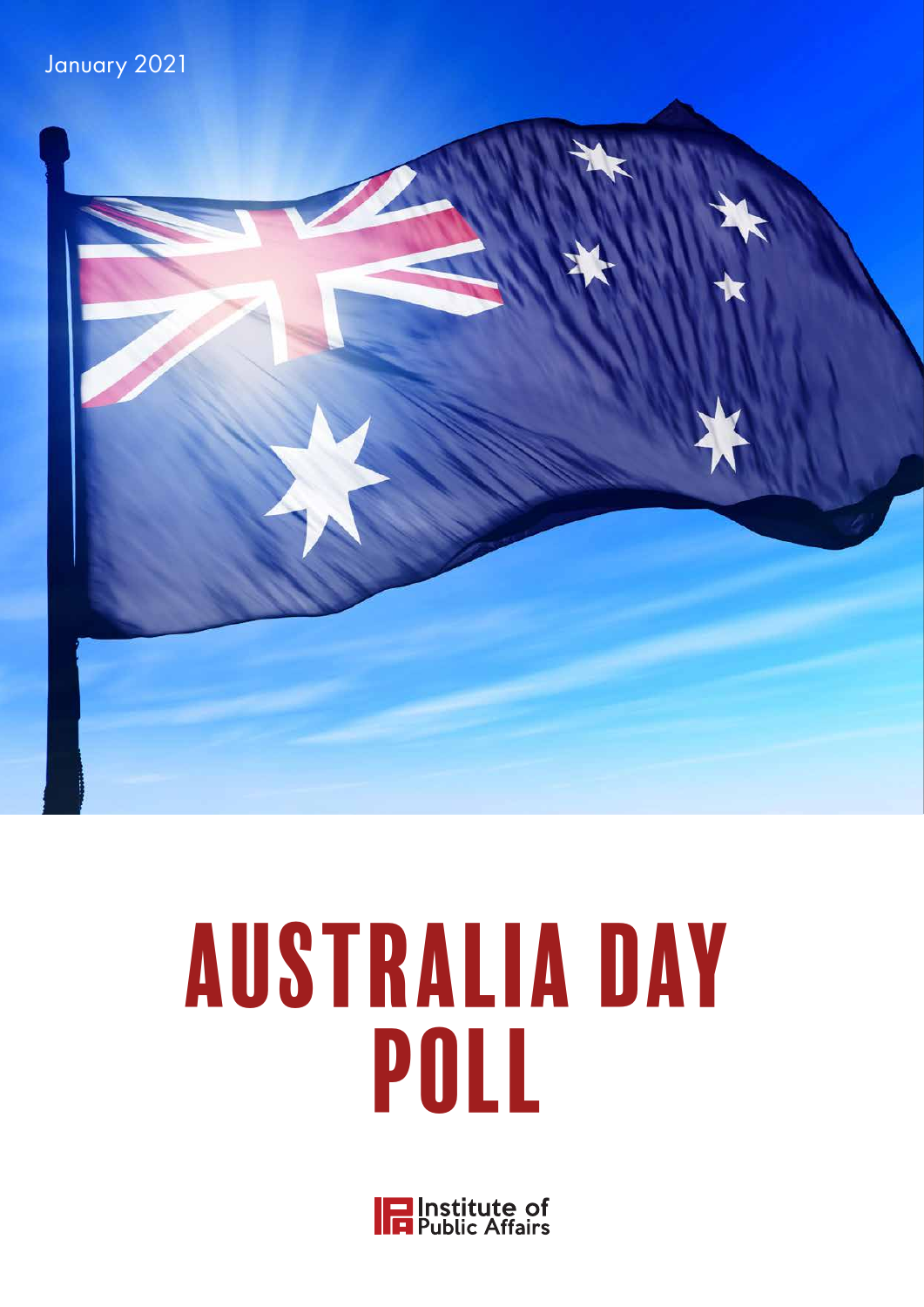



# AUSTRALIA DAY POLL

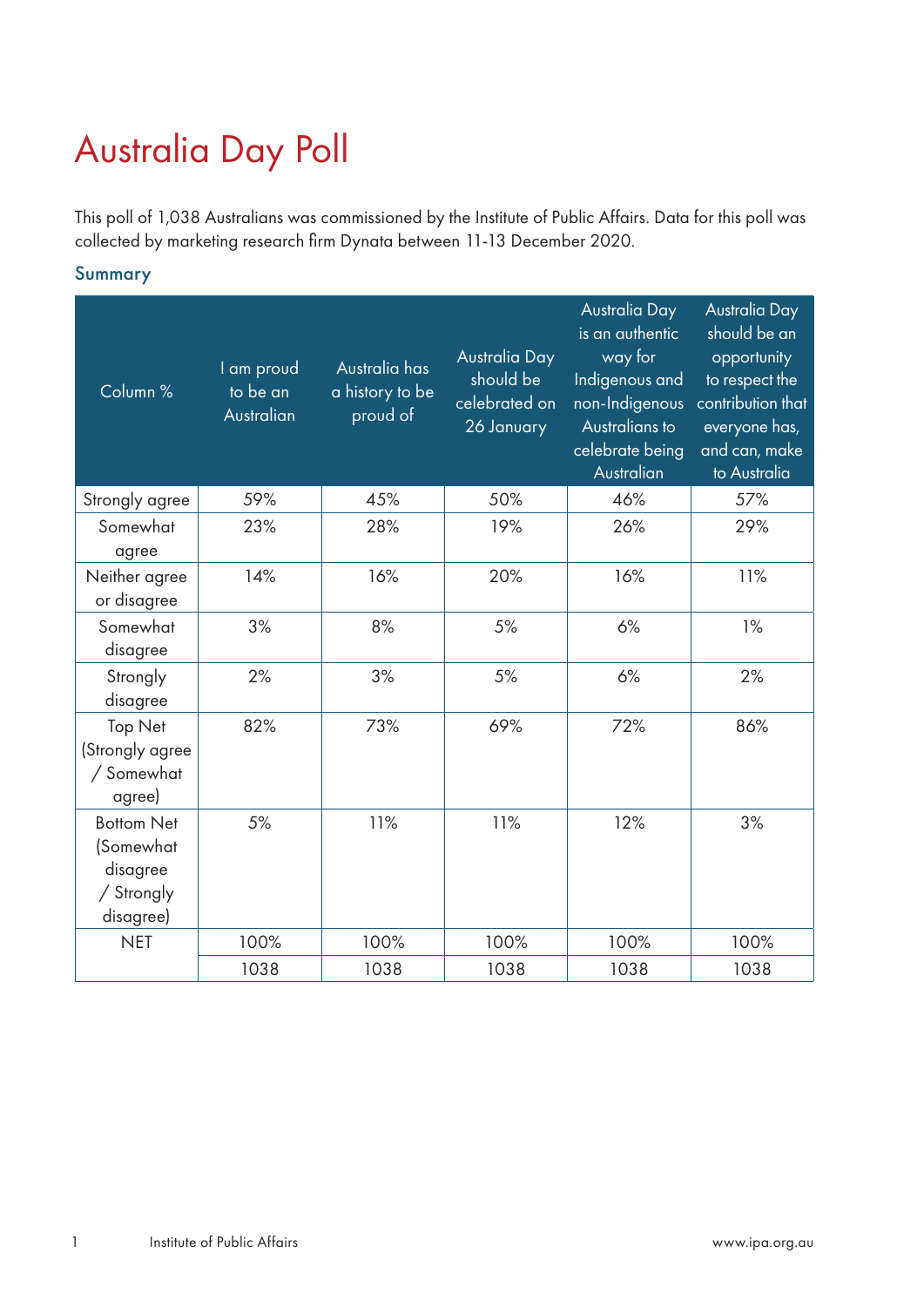# Australia Day Poll

This poll of 1,038 Australians was commissioned by the Institute of Public Affairs. Data for this poll was collected by marketing research firm Dynata between 11-13 December 2020.

Summary

| Column %                                                              | I am proud<br>to be an<br>Australian | Australia has<br>a history to be<br>proud of | Australia Day<br>should be<br>celebrated on<br>26 January | Australia Day<br>is an authentic<br>way for<br>Indigenous and<br>non-Indigenous<br>Australians to<br>celebrate being<br>Australian | Australia Day<br>should be an<br>opportunity<br>to respect the<br>contribution that<br>everyone has,<br>and can, make<br>to Australia |
|-----------------------------------------------------------------------|--------------------------------------|----------------------------------------------|-----------------------------------------------------------|------------------------------------------------------------------------------------------------------------------------------------|---------------------------------------------------------------------------------------------------------------------------------------|
| Strongly agree                                                        | 59%                                  | 45%                                          | 50%                                                       | 46%                                                                                                                                | 57%                                                                                                                                   |
| Somewhat<br>agree                                                     | 23%                                  | 28%                                          | 19%                                                       | 26%                                                                                                                                | 29%                                                                                                                                   |
| Neither agree<br>or disagree                                          | 14%                                  | 16%                                          | 20%                                                       | 16%                                                                                                                                | 11%                                                                                                                                   |
| Somewhat<br>disagree                                                  | 3%                                   | 8%                                           | 5%                                                        | 6%                                                                                                                                 | 1%                                                                                                                                    |
| Strongly<br>disagree                                                  | 2%                                   | 3%                                           | 5%                                                        | 6%                                                                                                                                 | 2%                                                                                                                                    |
| Top Net<br>(Strongly agree<br>/ Somewhat<br>agree)                    | 82%                                  | 73%                                          | 69%                                                       | 72%                                                                                                                                | 86%                                                                                                                                   |
| <b>Bottom Net</b><br>(Somewhat<br>disagree<br>/ Strongly<br>disagree) | 5%                                   | 11%                                          | 11%                                                       | 12%                                                                                                                                | 3%                                                                                                                                    |
| <b>NET</b>                                                            | 100%                                 | 100%                                         | 100%                                                      | 100%                                                                                                                               | 100%                                                                                                                                  |
|                                                                       | 1038                                 | 1038                                         | 1038                                                      | 1038                                                                                                                               | 1038                                                                                                                                  |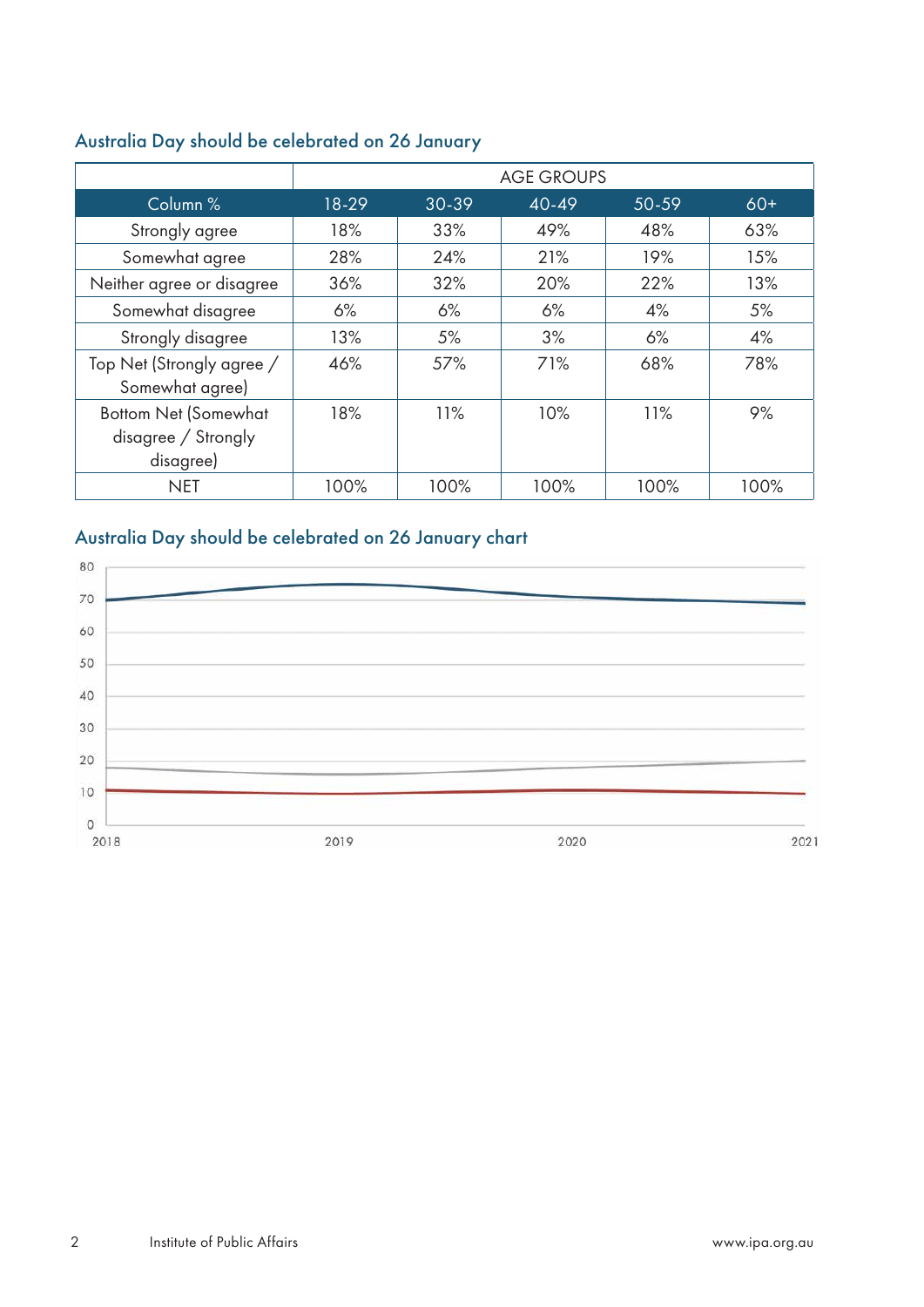|                                                                 | <b>AGE GROUPS</b> |       |       |       |       |
|-----------------------------------------------------------------|-------------------|-------|-------|-------|-------|
| Column %                                                        | 18-29             | 30-39 | 40-49 | 50-59 | $60+$ |
| Strongly agree                                                  | 18%               | 33%   | 49%   | 48%   | 63%   |
| Somewhat agree                                                  | 28%               | 24%   | 21%   | 19%   | 15%   |
| Neither agree or disagree                                       | 36%               | 32%   | 20%   | 22%   | 13%   |
| Somewhat disagree                                               | 6%                | 6%    | 6%    | 4%    | 5%    |
| Strongly disagree                                               | 13%               | 5%    | 3%    | 6%    | 4%    |
| Top Net (Strongly agree /<br>Somewhat agree)                    | 46%               | 57%   | 71%   | 68%   | 78%   |
| <b>Bottom Net (Somewhat</b><br>disagree / Strongly<br>disagree) | 18%               | 11%   | 10%   | 11%   | 9%    |
| <b>NET</b>                                                      | 100%              | 100%  | 100%  | 100%  | 100%  |

# Australia Day should be celebrated on 26 January

# Australia Day should be celebrated on 26 January chart

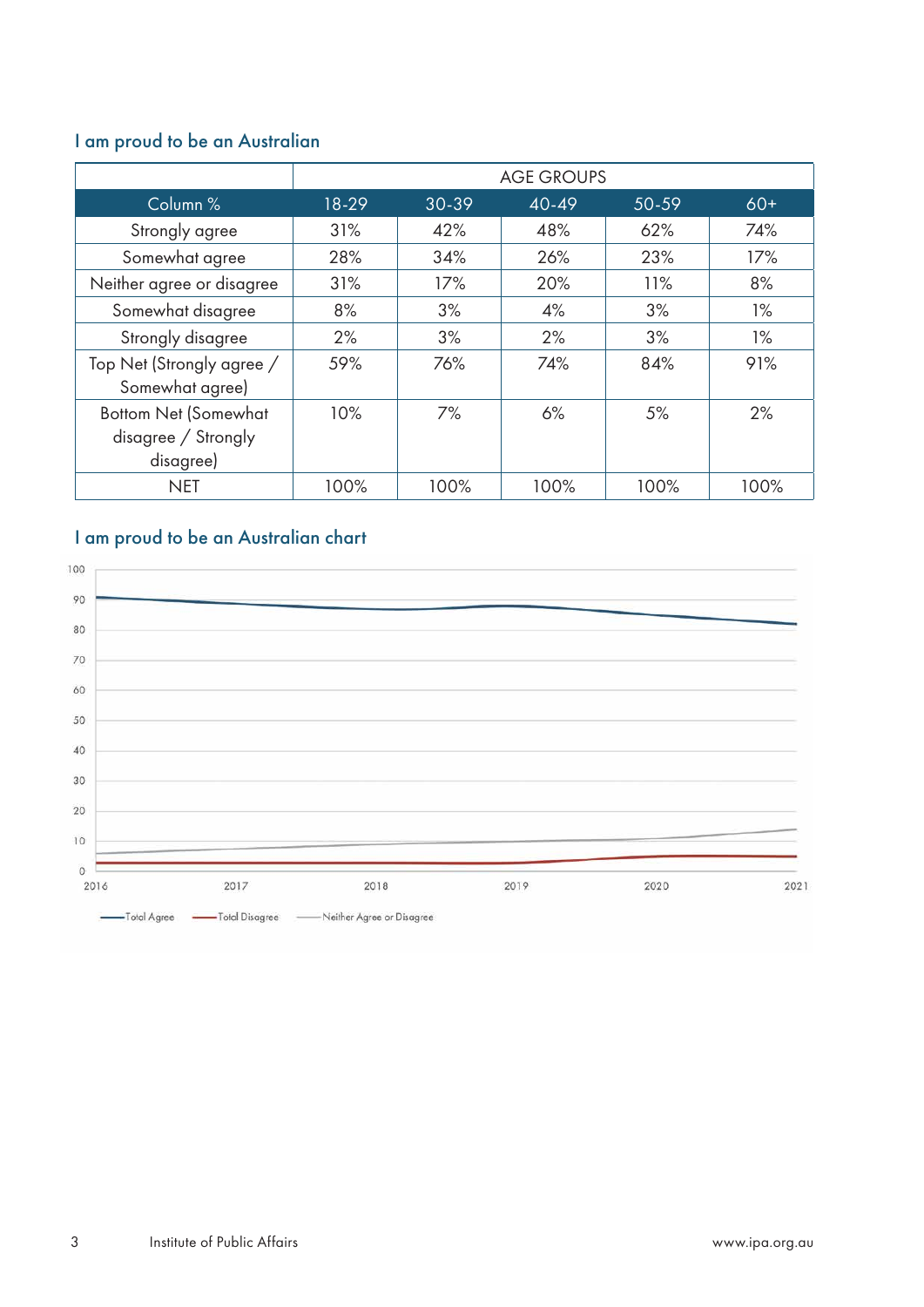# I am proud to be an Australian

|                                                                 | <b>AGE GROUPS</b> |       |           |       |       |
|-----------------------------------------------------------------|-------------------|-------|-----------|-------|-------|
| Column %                                                        | 18-29             | 30-39 | $40 - 49$ | 50-59 | $60+$ |
| Strongly agree                                                  | 31%               | 42%   | 48%       | 62%   | 74%   |
| Somewhat agree                                                  | 28%               | 34%   | 26%       | 23%   | 17%   |
| Neither agree or disagree                                       | 31%               | 17%   | 20%       | 11%   | 8%    |
| Somewhat disagree                                               | 8%                | 3%    | 4%        | 3%    | $1\%$ |
| Strongly disagree                                               | 2%                | 3%    | 2%        | 3%    | 1%    |
| Top Net (Strongly agree /<br>Somewhat agree)                    | 59%               | 76%   | 74%       | 84%   | 91%   |
| <b>Bottom Net (Somewhat</b><br>disagree / Strongly<br>disagree) | 10%               | 7%    | 6%        | 5%    | 2%    |
| <b>NET</b>                                                      | 100%              | 100%  | 100%      | 100%  | 100%  |

# I am proud to be an Australian chart

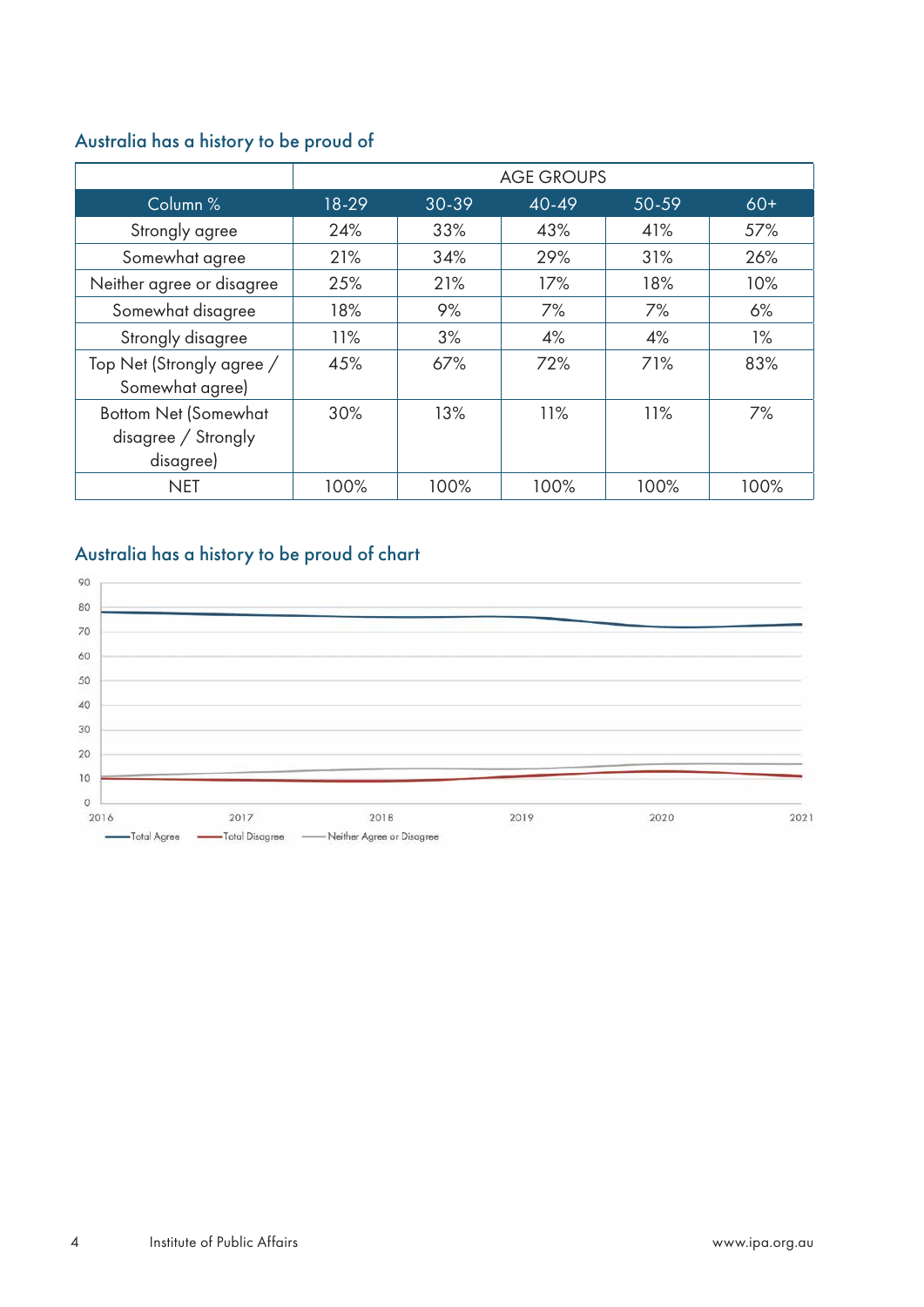# Australia has a history to be proud of

|                                                                 | <b>AGE GROUPS</b> |       |           |       |       |
|-----------------------------------------------------------------|-------------------|-------|-----------|-------|-------|
| Column %                                                        | 18-29             | 30-39 | $40 - 49$ | 50-59 | $60+$ |
| Strongly agree                                                  | 24%               | 33%   | 43%       | 41%   | 57%   |
| Somewhat agree                                                  | 21%               | 34%   | 29%       | 31%   | 26%   |
| Neither agree or disagree                                       | 25%               | 21%   | 17%       | 18%   | 10%   |
| Somewhat disagree                                               | 18%               | 9%    | 7%        | 7%    | 6%    |
| Strongly disagree                                               | 11%               | 3%    | 4%        | 4%    | 1%    |
| Top Net (Strongly agree /<br>Somewhat agree)                    | 45%               | 67%   | 72%       | 71%   | 83%   |
| <b>Bottom Net (Somewhat</b><br>disagree / Strongly<br>disagree) | 30%               | 13%   | 11%       | 11%   | 7%    |
| <b>NET</b>                                                      | 100%              | 100%  | 100%      | 100%  | 100%  |

# Australia has a history to be proud of chart